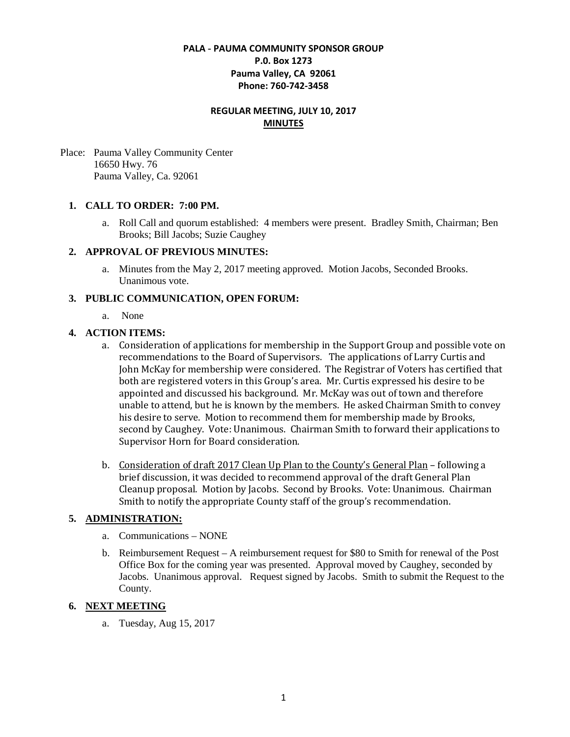# **PALA - PAUMA COMMUNITY SPONSOR GROUP P.0. Box 1273 Pauma Valley, CA 92061 Phone: 760-742-3458**

# **REGULAR MEETING, JULY 10, 2017 MINUTES**

Place: Pauma Valley Community Center 16650 Hwy. 76 Pauma Valley, Ca. 92061

### **1. CALL TO ORDER: 7:00 PM.**

a. Roll Call and quorum established: 4 members were present. Bradley Smith, Chairman; Ben Brooks; Bill Jacobs; Suzie Caughey

#### **2. APPROVAL OF PREVIOUS MINUTES:**

a. Minutes from the May 2, 2017 meeting approved. Motion Jacobs, Seconded Brooks. Unanimous vote.

### **3. PUBLIC COMMUNICATION, OPEN FORUM:**

a. None

#### **4. ACTION ITEMS:**

- a. Consideration of applications for membership in the Support Group and possible vote on recommendations to the Board of Supervisors. The applications of Larry Curtis and John McKay for membership were considered. The Registrar of Voters has certified that both are registered voters in this Group's area. Mr. Curtis expressed his desire to be appointed and discussed his background. Mr. McKay was out of town and therefore unable to attend, but he is known by the members. He asked Chairman Smith to convey his desire to serve. Motion to recommend them for membership made by Brooks, second by Caughey. Vote: Unanimous. Chairman Smith to forward their applications to Supervisor Horn for Board consideration.
- b. Consideration of draft 2017 Clean Up Plan to the County's General Plan following a brief discussion, it was decided to recommend approval of the draft General Plan Cleanup proposal. Motion by Jacobs. Second by Brooks. Vote: Unanimous. Chairman Smith to notify the appropriate County staff of the group's recommendation.

## **5. ADMINISTRATION:**

- a. Communications NONE
- b. Reimbursement Request A reimbursement request for \$80 to Smith for renewal of the Post Office Box for the coming year was presented. Approval moved by Caughey, seconded by Jacobs. Unanimous approval. Request signed by Jacobs. Smith to submit the Request to the County.

### **6. NEXT MEETING**

a. Tuesday, Aug 15, 2017